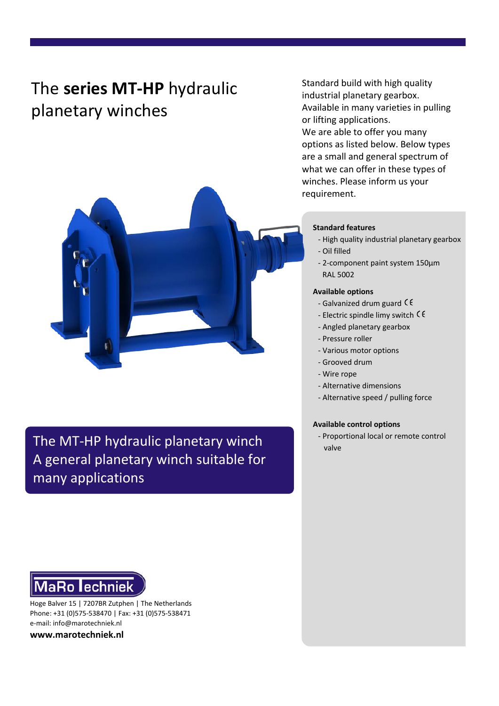# The **series MT-HP** hydraulic planetary winches

Standard build with high quality industrial planetary gearbox. Available in many varieties in pulling or lifting applications. We are able to offer you many options as listed below. Below types are a small and general spectrum of what we can offer in these types of winches. Please inform us your requirement.



- High quality industrial planetary gearbox
- Oil filled
- 2-component paint system 150μm RAL 5002

#### **Available options**

- Galvanized drum guard  $\zeta \xi$
- Electric spindle limy switch  $\zeta \zeta$
- Angled planetary gearbox
- Pressure roller
- Various motor options
- Grooved drum
- Wire rope
- Alternative dimensions
- Alternative speed / pulling force

### **Available control options**

- Proportional local or remote control valve





Hoge Balver 15 | 7207BR Zutphen | The Netherlands Phone: +31 (0)575-538470 | Fax: +31 (0)575-538471 e-mail: info@marotechniek.nl

**www.marotechniek.nl**